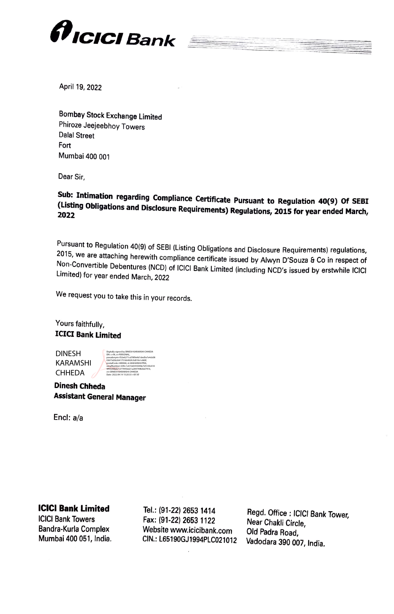

April 19, 2022

Bombay Stock Exchange Limited Phiroze Jeejeebhoy Towers Dalal Street Fort Mumbai 400 001

Dear Sir,

Sub: Intimation regarding Compliance Certificate Pursuant to Regulation 40(9) Of SEBI  $($ Listing Obligations and Disclosure Requirements) Regulations, 2015 for year ended March,

Pursuant to Regulation 40(9) of SEBI (Listing Obligations and Disclosure Requirements) regulations, 2015, we are attaching herewith compliance certificate issued by Alwyn D'Souza & Co in respect of Non-Convertible Debentur

We request you to take this in your records.

Yours faithfully, ICICI Bank Limited

DINESH KARAMSHI **CHHEDA** 

Digitally signed by DINESH KARAMSHI CHHEDA DN: c=IN, o=PERSONAL, pseudonym=f32e6271cd78f9e9d1ded5e7e4cb08 03673d3b264175166492fc5d01fe1c680f, postalCode=400068, st=MAHARASHTRA, serialNumber=695c1c67cb0355049e7d7c50c618 9f44200b821277445bd21a28474982bd7416, cn=DINESH KARAMSHI CHHEDA Date: 2022.04.19 15:20:33 +05'30'

Dinesh Chheda Assistant General Manager

Encl: a/a

## ICICI Bank Limited

ICICI Bank Towers Bandra-Kurla Complex Mumbai 400 051, India.

Tel.: (91-22) 2653 1414 Fax: (91-22) 2653 1122 Website www.icicibank.com

CIN.: L65190GJ1994PLCo21012 Vadodara 390 007, India. Regd. Office: ICICI Bank Tower, Near Chakli Circle, Old Padra Road,